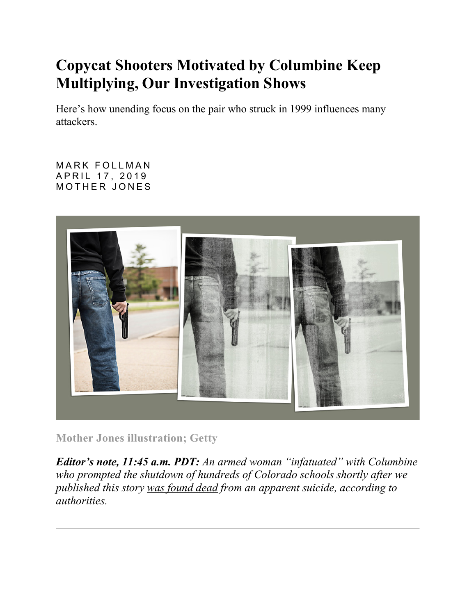## **Copycat Shooters Motivated by Columbine Keep Multiplying, Our Investigation Shows**

Here's how unending focus on the pair who struck in 1999 influences many attackers.

[MARK FOLLMAN](https://www.motherjones.com/author/mark-follman/)  APRIL 17, 2019 M O THER JONES



**Mother Jones illustration; Getty**

*Editor's note, 11:45 a.m. PDT: An armed woman "infatuated" with Columbine who prompted the shutdown of hundreds of Colorado schools shortly after we published this story [was found dead](https://www.nytimes.com/2019/04/17/us/columbine-shooting-sol-pais.html) from an apparent suicide, according to authorities.*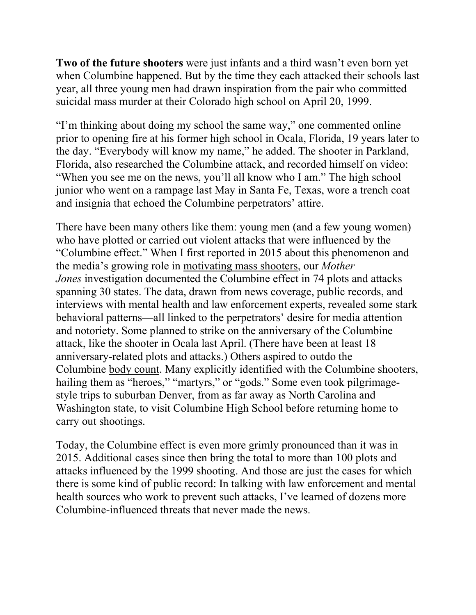**Two of the future shooters** were just infants and a third wasn't even born yet when Columbine happened. But by the time they each attacked their schools last year, all three young men had drawn inspiration from the pair who committed suicidal mass murder at their Colorado high school on April 20, 1999.

"I'm thinking about doing my school the same way," one commented online prior to opening fire at his former high school in Ocala, Florida, 19 years later to the day. "Everybody will know my name," he added. The shooter in Parkland, Florida, also researched the Columbine attack, and recorded himself on video: "When you see me on the news, you'll all know who I am." The high school junior who went on a rampage last May in Santa Fe, Texas, wore a trench coat and insignia that echoed the Columbine perpetrators' attire.

There have been many others like them: young men (and a few young women) who have plotted or carried out violent attacks that were influenced by the "Columbine effect." When I first reported in 2015 about [this phenomenon](https://www.motherjones.com/politics/2015/10/mass-shootings-threat-assessment-shooter-fbi-columbine/) and the media's growing role in [motivating mass shooters,](https://www.motherjones.com/politics/2015/10/media-inspires-mass-shooters-copycats/) our *Mother Jones* investigation documented the Columbine effect in 74 plots and attacks spanning 30 states. The data, drawn from news coverage, public records, and interviews with mental health and law enforcement experts, revealed some stark behavioral patterns—all linked to the perpetrators' desire for media attention and notoriety. Some planned to strike on the anniversary of the Columbine attack, like the shooter in Ocala last April. (There have been at least 18 anniversary-related plots and attacks.) Others aspired to outdo the Columbine [body count.](https://www.motherjones.com/politics/2017/11/mass-shootings-body-counts-media-1/) Many explicitly identified with the Columbine shooters, hailing them as "heroes," "martyrs," or "gods." Some even took pilgrimagestyle trips to suburban Denver, from as far away as North Carolina and Washington state, to visit Columbine High School before returning home to carry out shootings.

Today, the Columbine effect is even more grimly pronounced than it was in 2015. Additional cases since then bring the total to more than 100 plots and attacks influenced by the 1999 shooting. And those are just the cases for which there is some kind of public record: In talking with law enforcement and mental health sources who work to [prevent such attacks,](https://www.motherjones.com/politics/2015/10/mass-shootings-threat-assessment-shooter-fbi-columbine/) I've learned of dozens more Columbine-influenced threats that never made the news.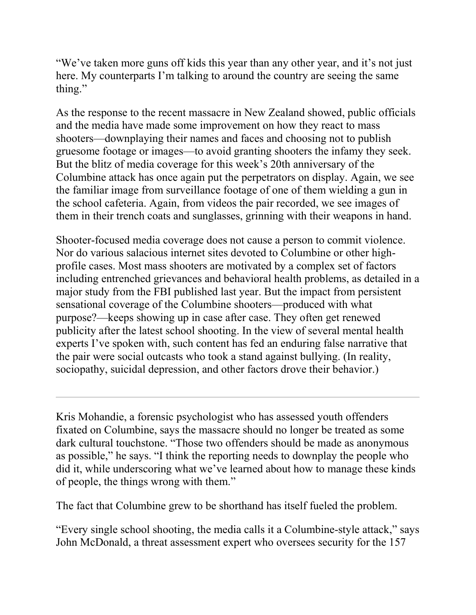"We've taken more guns off kids this year than any other year, and it's not just here. My counterparts I'm talking to around the country are seeing the same thing."

As the response to the recent massacre in New Zealand showed, public officials and the media have made some improvement on how they react to mass shooters—downplaying their names and faces and choosing [not to publish](https://www.npr.org/2019/03/20/705252715/how-to-talk-about-a-mass-shooting-without-glorifying-the-shooter)  [gruesome footage or images—](https://www.npr.org/2019/03/20/705252715/how-to-talk-about-a-mass-shooting-without-glorifying-the-shooter)to avoid granting shooters the infamy they seek. But the blitz of media coverage for this week's 20th anniversary of the Columbine attack has once again put the perpetrators on display. Again, we see the familiar image from surveillance footage of one of them wielding a gun in the school cafeteria. Again, from videos the pair recorded, we see images of them in their trench coats and sunglasses, grinning with their weapons in hand.

Shooter-focused media coverage does not cause a person to commit violence. Nor do various salacious internet sites devoted to Columbine or [other high](http://nymag.com/intelligencer/2018/04/cruzers-are-fans-of-school-shooter-nikolas-cruz.html)[profile cases.](http://nymag.com/intelligencer/2018/04/cruzers-are-fans-of-school-shooter-nikolas-cruz.html) Most mass shooters are motivated by a complex set of factors including entrenched grievances and behavioral health problems, as detailed in a major study [from the FBI](https://www.motherjones.com/crime-justice/2018/06/active-shooters-fbi-research-warning-signs/) published last year. But the impact from persistent sensational coverage of the Columbine shooters—produced with what purpose?—keeps showing up in case after case. They often get renewed publicity after the latest school shooting. In the view of several mental health experts I've spoken with, such content has fed an enduring false narrative that the pair were social outcasts who took a stand against bullying. (In reality, sociopathy, suicidal depression, and other factors drove their behavior.)

Kris Mohandie, a forensic psychologist who has assessed youth offenders fixated on Columbine, says the massacre should no longer be treated as some dark cultural touchstone. "Those two offenders should be made as anonymous as possible," he says. "I think the reporting needs to downplay the people who did it, while underscoring what we've learned about how to manage these kinds of people, the things wrong with them."

The fact that Columbine grew to be shorthand has itself fueled the problem.

"Every single school shooting, the media calls it a Columbine-style attack," says John McDonald, a threat assessment expert who oversees security for the 157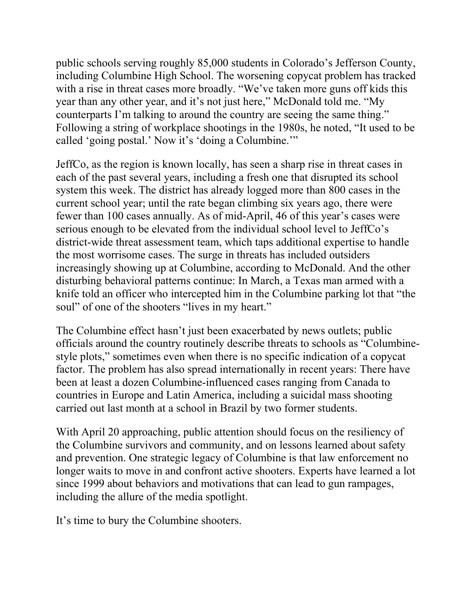public schools serving roughly 85,000 students in Colorado's Jefferson County, including Columbine High School. The worsening copycat problem has tracked with a rise in threat cases more broadly. "We've taken more guns off kids this year than any other year, and it's not just here," McDonald told me. "My counterparts I'm talking to around the country are seeing the same thing." Following a string of workplace shootings in the 1980s, he noted, "It used to be called 'going postal.' Now it's 'doing a Columbine.'"

JeffCo, as the region is known locally, has seen a sharp rise in threat cases in each of the past several years, including a fresh one that [disrupted](https://www.washingtonpost.com/education/2019/04/16/columbine-high-school-lockout-jeffco-schools/) its school system this week. The district has already logged more than 800 cases in the current school year; until the rate began climbing six years ago, there were fewer than 100 cases annually. As of mid-April, 46 of this year's cases were serious enough to be elevated from the individual school level to JeffCo's district-wide threat assessment team, which taps additional expertise to handle the most worrisome cases. The surge in threats has included outsiders increasingly showing up at Columbine, according to McDonald. And the other disturbing behavioral patterns continue: In March, a Texas man armed with a knife told an officer who intercepted him in the Columbine parking lot that "the soul" of one of the shooters "lives in my heart."

The Columbine effect hasn't just been exacerbated by news outlets; public officials around the country routinely describe threats to schools as "Columbinestyle plots," sometimes even when there is no specific indication of a copycat factor. The problem has also spread internationally in recent years: There have been at least a dozen Columbine-influenced cases ranging from Canada to countries in Europe and Latin America, including a suicidal mass shooting carried out last month at a school in Brazil by two former students.

With April 20 approaching, public attention should focus on the resiliency of the Columbine survivors and community, and on lessons learned about safety and prevention. One strategic legacy of Columbine is that law enforcement no longer waits to move in and confront active shooters. Experts have learned a lot since 1999 about behaviors and motivations that can lead to gun rampages, including the allure of the media spotlight.

It's time to bury the Columbine shooters.